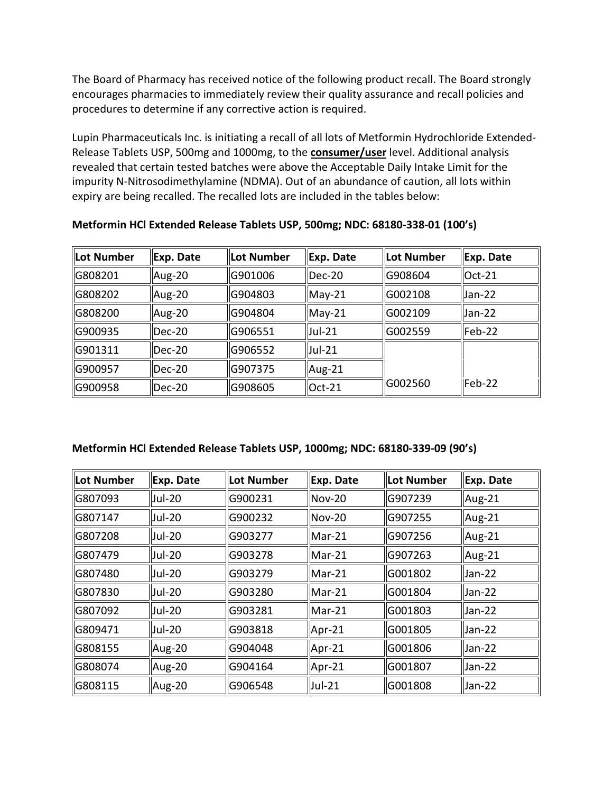The Board of Pharmacy has received notice of the following product recall. The Board strongly encourages pharmacies to immediately review their quality assurance and recall policies and procedures to determine if any corrective action is required.

 expiry are being recalled. The recalled lots are included in the tables below: Lupin Pharmaceuticals Inc. is initiating a recall of all lots of Metformin Hydrochloride Extended-Release Tablets USP, 500mg and 1000mg, to the **consumer/user** level. Additional analysis revealed that certain tested batches were above the Acceptable Daily Intake Limit for the impurity N-Nitrosodimethylamine (NDMA). Out of an abundance of caution, all lots within

| <b>Lot Number</b> | Exp. Date          | <b>Lot Number</b> | Exp. Date     | Lot Number | Exp. Date           |
|-------------------|--------------------|-------------------|---------------|------------|---------------------|
| G808201           | Aug-20             | G901006           | lDec-20       | G908604    | $I$ lOct-21         |
| G808202           | Aug-20             | G904803           | $May-21$      | G002108    | $ $ Jan-22          |
| G808200           | $\mu$ Aug-20       | G904804           | $May-21$      | G002109    | $ $ Jan-22          |
| G900935           | lDec-20            | G906551           | Jul-21        | G002559    | $\mathsf{I}$ Feb-22 |
| G901311           | lDec-20            | G906552           | <b>Jul-21</b> |            |                     |
| G900957           | lDec-20            | G907375           | Aug-21        |            |                     |
| G900958           | $\parallel$ Dec-20 | G908605           | Oct-21        | G002560    | $I$ Feb-22          |

**Metformin HCl Extended Release Tablets USP, 500mg; NDC: 68180-338-01 (100's)** 

## **Metformin HCl Extended Release Tablets USP, 1000mg; NDC: 68180-339-09 (90's)**

| Lot Number | Exp. Date     | Lot Number | Exp. Date      | <b>Lot Number</b> | Exp. Date |
|------------|---------------|------------|----------------|-------------------|-----------|
| G807093    | <b>Jul-20</b> | G900231    | $ Nov-20$      | G907239           | Aug-21    |
| G807147    | <b>Jul-20</b> | G900232    | $Nov-20$       | G907255           | Aug-21    |
| G807208    | <b>Jul-20</b> | G903277    | $Mar-21$       | G907256           | Aug-21    |
| G807479    | <b>Jul-20</b> | G903278    | $Mar-21$       | G907263           | Aug-21    |
| G807480    | <b>Jul-20</b> | G903279    | $Mar-21$       | G001802           | Jan-22    |
| G807830    | <b>Jul-20</b> | G903280    | $Mar-21$       | G001804           | Jan-22    |
| G807092    | <b>Jul-20</b> | G903281    | $Mar-21$       | G001803           | Jan-22    |
| G809471    | <b>Jul-20</b> | G903818    | $Apr-21$       | G001805           | Jan-22    |
| G808155    | Aug-20        | G904048    | $\vert$ Apr-21 | G001806           | Jan-22    |
| G808074    | Aug-20        | G904164    | $Apr-21$       | G001807           | Jan-22    |
| G808115    | Aug-20        | G906548    | Uul-21         | G001808           | Jan-22    |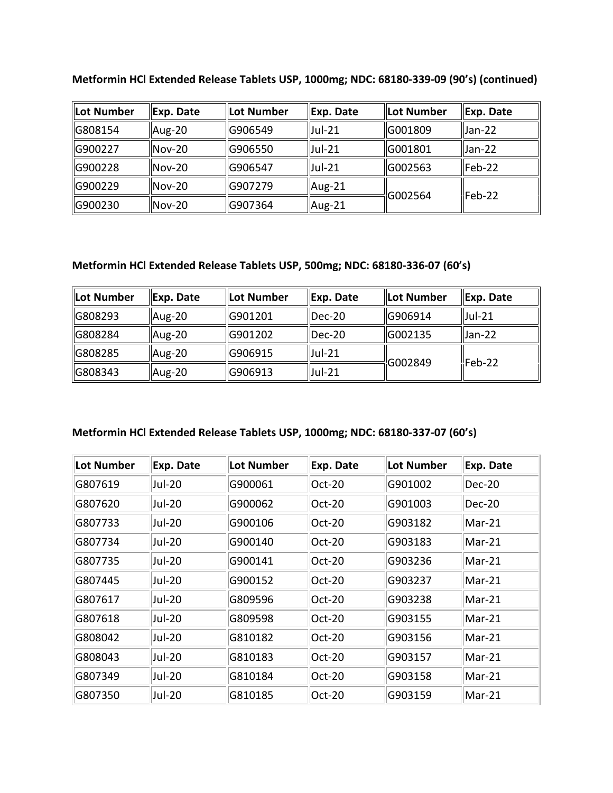| Lot Number | Exp. Date     | Lot Number | Exp. Date      | llot Number | Exp. Date  |
|------------|---------------|------------|----------------|-------------|------------|
| G808154    | Aug-20        | G906549    | $ $ Jul-21     | IG001809    | llJan-22   |
| G900227    | $Nov-20$      | G906550    | <b>Jul-21</b>  | G001801     | Uan-22     |
| G900228    | $Nov-20$      | G906547    | <b>Jul-21</b>  | G002563     | llFeb-22   |
| lG900229   | $Nov-20$      | G907279    | Aug-21         | G002564     | $l$ Feb-22 |
| G900230    | <b>Nov-20</b> | G907364    | $\vert$ Aug-21 |             |            |

**Metformin HCl Extended Release Tablets USP, 1000mg; NDC: 68180-339-09 (90's) (continued)** 

## **Metformin HCl Extended Release Tablets USP, 500mg; NDC: 68180-336-07 (60's)**

| Lot Number | Exp. Date    | <b>ILot Number</b> | Exp. Date  | <b>ILot Number</b> | Exp. Date  |
|------------|--------------|--------------------|------------|--------------------|------------|
| G808293    | Aug-20       | G901201            | Dec-20     | <b>IG906914</b>    | $ $ Jul-21 |
| G808284    | $\mu$ Aug-20 | G901202            | llDec-20   | IG002135           | Uan-22     |
| G808285    | Aug-20       | G906915            | $ $ Jul-21 | G002849            | Feb-22     |
| G808343    | Aug-20       | G906913            | $ $ Jul-21 |                    |            |

## **Metformin HCl Extended Release Tablets USP, 1000mg; NDC: 68180-337-07 (60's)**

| Lot Number | Exp. Date     | <b>Lot Number</b> | Exp. Date | Lot Number | Exp. Date |
|------------|---------------|-------------------|-----------|------------|-----------|
| G807619    | Jul-20        | G900061           | Oct-20    | G901002    | Dec-20    |
| G807620    | Jul-20        | G900062           | Oct-20    | G901003    | Dec-20    |
| G807733    | Jul-20        | G900106           | Oct-20    | G903182    | Mar-21    |
| G807734    | Jul-20        | G900140           | Oct-20    | G903183    | Mar-21    |
| G807735    | <b>Jul-20</b> | G900141           | Oct-20    | G903236    | Mar-21    |
| G807445    | Jul-20        | G900152           | Oct-20    | G903237    | Mar-21    |
| G807617    | Jul-20        | G809596           | Oct-20    | G903238    | Mar-21    |
| G807618    | Jul-20        | G809598           | Oct-20    | G903155    | Mar-21    |
| G808042    | Jul-20        | G810182           | Oct-20    | G903156    | Mar-21    |
| G808043    | Jul-20        | G810183           | Oct-20    | G903157    | Mar-21    |
| G807349    | Jul-20        | G810184           | Oct-20    | G903158    | Mar-21    |
| G807350    | Jul-20        | G810185           | Oct-20    | G903159    | Mar-21    |